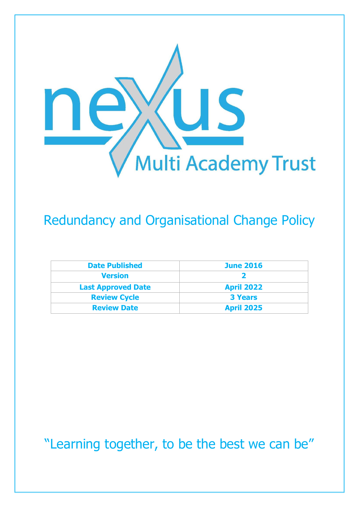

## Redundancy and Organisational Change Policy

| <b>Date Published</b>     | <b>June 2016</b>  |
|---------------------------|-------------------|
| <b>Version</b>            |                   |
| <b>Last Approved Date</b> | <b>April 2022</b> |
| <b>Review Cycle</b>       | <b>3 Years</b>    |
| <b>Review Date</b>        | <b>April 2025</b> |

"Learning together, to be the best we can be"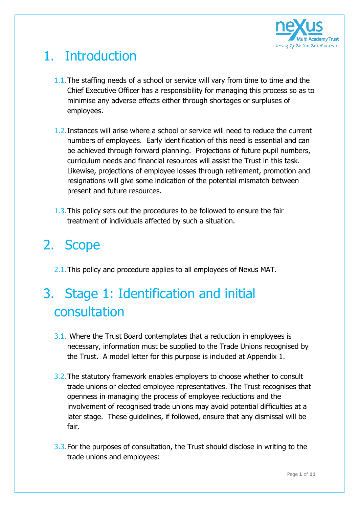

## 1. Introduction

- 1.1. The staffing needs of a school or service will vary from time to time and the Chief Executive Officer has a responsibility for managing this process so as to minimise any adverse effects either through shortages or surpluses of employees.
- 1.2.Instances will arise where a school or service will need to reduce the current numbers of employees. Early identification of this need is essential and can be achieved through forward planning. Projections of future pupil numbers, curriculum needs and financial resources will assist the Trust in this task. Likewise, projections of employee losses through retirement, promotion and resignations will give some indication of the potential mismatch between present and future resources.
- 1.3.This policy sets out the procedures to be followed to ensure the fair treatment of individuals affected by such a situation.

## 2. Scope

2.1. This policy and procedure applies to all employees of Nexus MAT.

# 3. Stage 1: Identification and initial consultation

- 3.1. Where the Trust Board contemplates that a reduction in employees is necessary, information must be supplied to the Trade Unions recognised by the Trust. A model letter for this purpose is included at Appendix 1.
- 3.2.The statutory framework enables employers to choose whether to consult trade unions or elected employee representatives. The Trust recognises that openness in managing the process of employee reductions and the involvement of recognised trade unions may avoid potential difficulties at a later stage. These guidelines, if followed, ensure that any dismissal will be fair.
- 3.3.For the purposes of consultation, the Trust should disclose in writing to the trade unions and employees: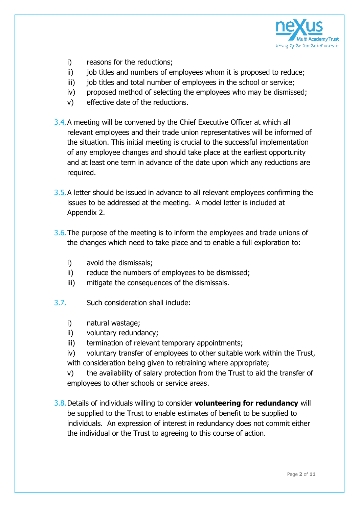

- i) reasons for the reductions;
- ii) job titles and numbers of employees whom it is proposed to reduce;
- iii) job titles and total number of employees in the school or service;
- iv) proposed method of selecting the employees who may be dismissed;
- v) effective date of the reductions.
- 3.4.A meeting will be convened by the Chief Executive Officer at which all relevant employees and their trade union representatives will be informed of the situation. This initial meeting is crucial to the successful implementation of any employee changes and should take place at the earliest opportunity and at least one term in advance of the date upon which any reductions are required.
- 3.5.A letter should be issued in advance to all relevant employees confirming the issues to be addressed at the meeting. A model letter is included at Appendix 2.
- 3.6.The purpose of the meeting is to inform the employees and trade unions of the changes which need to take place and to enable a full exploration to:
	- i) avoid the dismissals;
	- ii) reduce the numbers of employees to be dismissed;
	- iii) mitigate the consequences of the dismissals.
- 3.7. Such consideration shall include:
	- i) natural wastage;
	- ii) voluntary redundancy;
	- iii) termination of relevant temporary appointments;
	- iv) voluntary transfer of employees to other suitable work within the Trust, with consideration being given to retraining where appropriate;

v) the availability of salary protection from the Trust to aid the transfer of employees to other schools or service areas.

3.8.Details of individuals willing to consider **volunteering for redundancy** will be supplied to the Trust to enable estimates of benefit to be supplied to individuals. An expression of interest in redundancy does not commit either the individual or the Trust to agreeing to this course of action.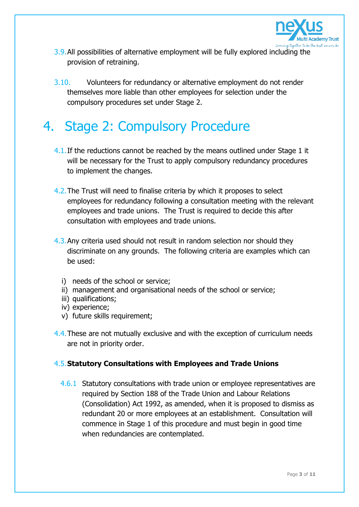

- 3.9.All possibilities of alternative employment will be fully explored including the provision of retraining.
- 3.10. Volunteers for redundancy or alternative employment do not render themselves more liable than other employees for selection under the compulsory procedures set under Stage 2.

## 4. Stage 2: Compulsory Procedure

- 4.1. If the reductions cannot be reached by the means outlined under Stage 1 it will be necessary for the Trust to apply compulsory redundancy procedures to implement the changes.
- 4.2.The Trust will need to finalise criteria by which it proposes to select employees for redundancy following a consultation meeting with the relevant employees and trade unions. The Trust is required to decide this after consultation with employees and trade unions.
- 4.3.Any criteria used should not result in random selection nor should they discriminate on any grounds. The following criteria are examples which can be used:
	- i) needs of the school or service;
	- ii) management and organisational needs of the school or service;
	- iii) qualifications;
	- iv) experience;
	- v) future skills requirement;
- 4.4.These are not mutually exclusive and with the exception of curriculum needs are not in priority order.

### 4.5.**Statutory Consultations with Employees and Trade Unions**

4.6.1 Statutory consultations with trade union or employee representatives are required by Section 188 of the Trade Union and Labour Relations (Consolidation) Act 1992, as amended, when it is proposed to dismiss as redundant 20 or more employees at an establishment. Consultation will commence in Stage 1 of this procedure and must begin in good time when redundancies are contemplated.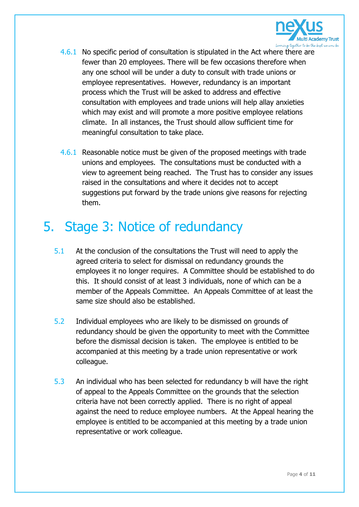

- 4.6.1 No specific period of consultation is stipulated in the Act where there are fewer than 20 employees. There will be few occasions therefore when any one school will be under a duty to consult with trade unions or employee representatives. However, redundancy is an important process which the Trust will be asked to address and effective consultation with employees and trade unions will help allay anxieties which may exist and will promote a more positive employee relations climate. In all instances, the Trust should allow sufficient time for meaningful consultation to take place.
- 4.6.1 Reasonable notice must be given of the proposed meetings with trade unions and employees. The consultations must be conducted with a view to agreement being reached. The Trust has to consider any issues raised in the consultations and where it decides not to accept suggestions put forward by the trade unions give reasons for rejecting them.

## 5. Stage 3: Notice of redundancy

- 5.1 At the conclusion of the consultations the Trust will need to apply the agreed criteria to select for dismissal on redundancy grounds the employees it no longer requires. A Committee should be established to do this. It should consist of at least 3 individuals, none of which can be a member of the Appeals Committee. An Appeals Committee of at least the same size should also be established.
- 5.2 Individual employees who are likely to be dismissed on grounds of redundancy should be given the opportunity to meet with the Committee before the dismissal decision is taken. The employee is entitled to be accompanied at this meeting by a trade union representative or work colleague.
- 5.3 An individual who has been selected for redundancy b will have the right of appeal to the Appeals Committee on the grounds that the selection criteria have not been correctly applied. There is no right of appeal against the need to reduce employee numbers. At the Appeal hearing the employee is entitled to be accompanied at this meeting by a trade union representative or work colleague.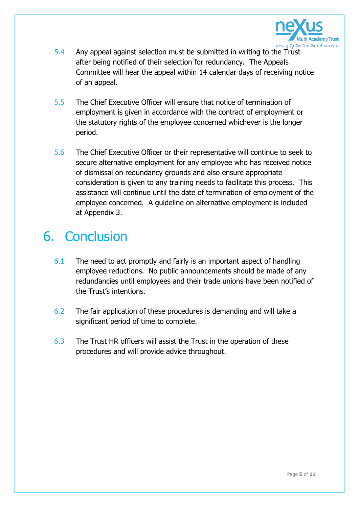

- 5.4 Any appeal against selection must be submitted in writing to the Trust after being notified of their selection for redundancy. The Appeals Committee will hear the appeal within 14 calendar days of receiving notice of an appeal.
- 5.5 The Chief Executive Officer will ensure that notice of termination of employment is given in accordance with the contract of employment or the statutory rights of the employee concerned whichever is the longer period.
- 5.6 The Chief Executive Officer or their representative will continue to seek to secure alternative employment for any employee who has received notice of dismissal on redundancy grounds and also ensure appropriate consideration is given to any training needs to facilitate this process. This assistance will continue until the date of termination of employment of the employee concerned. A guideline on alternative employment is included at Appendix 3.

### 6. Conclusion

- 6.1 The need to act promptly and fairly is an important aspect of handling employee reductions. No public announcements should be made of any redundancies until employees and their trade unions have been notified of the Trust's intentions.
- 6.2 The fair application of these procedures is demanding and will take a significant period of time to complete.
- 6.3 The Trust HR officers will assist the Trust in the operation of these procedures and will provide advice throughout.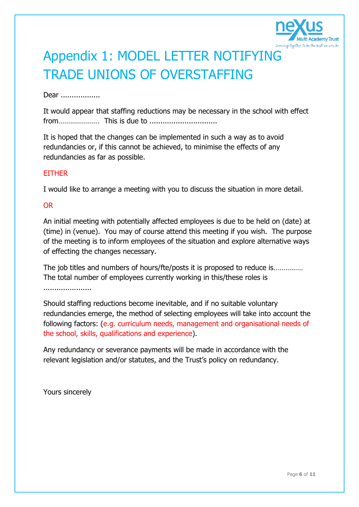

# Appendix 1: MODEL LETTER NOTIFYING TRADE UNIONS OF OVERSTAFFING

#### Dear ..................

It would appear that staffing reductions may be necessary in the school with effect from………………… This is due to ...............................

It is hoped that the changes can be implemented in such a way as to avoid redundancies or, if this cannot be achieved, to minimise the effects of any redundancies as far as possible.

#### **FITHER**

I would like to arrange a meeting with you to discuss the situation in more detail.

#### OR

An initial meeting with potentially affected employees is due to be held on (date) at (time) in (venue). You may of course attend this meeting if you wish. The purpose of the meeting is to inform employees of the situation and explore alternative ways of effecting the changes necessary.

The job titles and numbers of hours/fte/posts it is proposed to reduce is............... The total number of employees currently working in this/these roles is ......................

Should staffing reductions become inevitable, and if no suitable voluntary redundancies emerge, the method of selecting employees will take into account the following factors: (e.g. curriculum needs, management and organisational needs of the school, skills, qualifications and experience).

Any redundancy or severance payments will be made in accordance with the relevant legislation and/or statutes, and the Trust's policy on redundancy.

Yours sincerely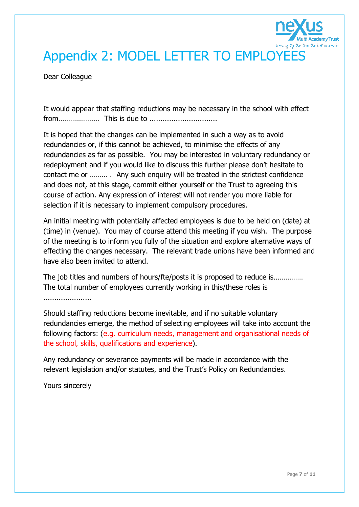

## Appendix 2: MODEL LETTER TO EMPLOYEES

Dear Colleague

It would appear that staffing reductions may be necessary in the school with effect from………………… This is due to ...............................

It is hoped that the changes can be implemented in such a way as to avoid redundancies or, if this cannot be achieved, to minimise the effects of any redundancies as far as possible. You may be interested in voluntary redundancy or redeployment and if you would like to discuss this further please don't hesitate to contact me or ……… . Any such enquiry will be treated in the strictest confidence and does not, at this stage, commit either yourself or the Trust to agreeing this course of action. Any expression of interest will not render you more liable for selection if it is necessary to implement compulsory procedures.

An initial meeting with potentially affected employees is due to be held on (date) at (time) in (venue). You may of course attend this meeting if you wish. The purpose of the meeting is to inform you fully of the situation and explore alternative ways of effecting the changes necessary. The relevant trade unions have been informed and have also been invited to attend.

The job titles and numbers of hours/fte/posts it is proposed to reduce is…………… The total number of employees currently working in this/these roles is ......................

Should staffing reductions become inevitable, and if no suitable voluntary redundancies emerge, the method of selecting employees will take into account the following factors: (e.g. curriculum needs, management and organisational needs of the school, skills, qualifications and experience).

Any redundancy or severance payments will be made in accordance with the relevant legislation and/or statutes, and the Trust's Policy on Redundancies.

Yours sincerely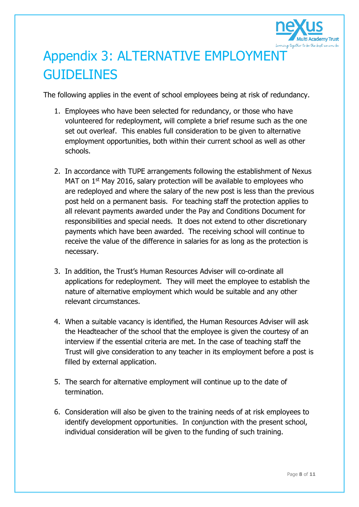

## Appendix 3: ALTERNATIVE EMPLOYMENT **GUIDELINES**

The following applies in the event of school employees being at risk of redundancy.

- 1. Employees who have been selected for redundancy, or those who have volunteered for redeployment, will complete a brief resume such as the one set out overleaf. This enables full consideration to be given to alternative employment opportunities, both within their current school as well as other schools.
- 2. In accordance with TUPE arrangements following the establishment of Nexus MAT on 1<sup>st</sup> May 2016, salary protection will be available to employees who are redeployed and where the salary of the new post is less than the previous post held on a permanent basis. For teaching staff the protection applies to all relevant payments awarded under the Pay and Conditions Document for responsibilities and special needs. It does not extend to other discretionary payments which have been awarded. The receiving school will continue to receive the value of the difference in salaries for as long as the protection is necessary.
- 3. In addition, the Trust's Human Resources Adviser will co-ordinate all applications for redeployment. They will meet the employee to establish the nature of alternative employment which would be suitable and any other relevant circumstances.
- 4. When a suitable vacancy is identified, the Human Resources Adviser will ask the Headteacher of the school that the employee is given the courtesy of an interview if the essential criteria are met. In the case of teaching staff the Trust will give consideration to any teacher in its employment before a post is filled by external application.
- 5. The search for alternative employment will continue up to the date of termination.
- 6. Consideration will also be given to the training needs of at risk employees to identify development opportunities. In conjunction with the present school, individual consideration will be given to the funding of such training.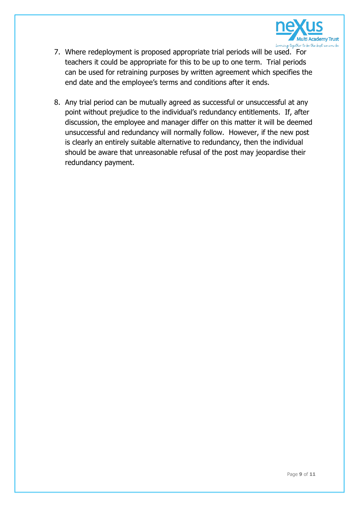

- 7. Where redeployment is proposed appropriate trial periods will be used. For teachers it could be appropriate for this to be up to one term. Trial periods can be used for retraining purposes by written agreement which specifies the end date and the employee's terms and conditions after it ends.
- 8. Any trial period can be mutually agreed as successful or unsuccessful at any point without prejudice to the individual's redundancy entitlements. If, after discussion, the employee and manager differ on this matter it will be deemed unsuccessful and redundancy will normally follow. However, if the new post is clearly an entirely suitable alternative to redundancy, then the individual should be aware that unreasonable refusal of the post may jeopardise their redundancy payment.